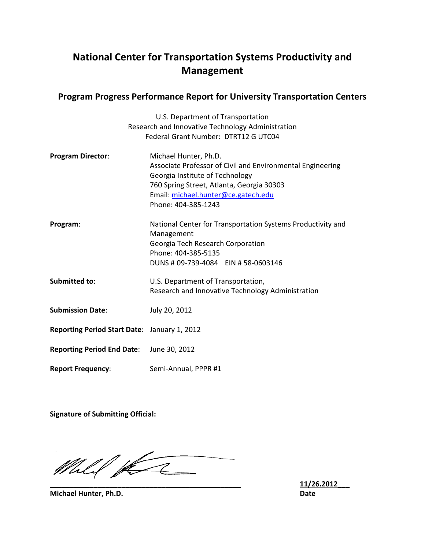# **National Center for Transpor Center for Transportation Systems Productivity and Management**

## **Program Progress Performance Report for University Transportation Centers**

|                                              | U.S. Department of Transportation                           |
|----------------------------------------------|-------------------------------------------------------------|
|                                              | Research and Innovative Technology Administration           |
|                                              | Federal Grant Number: DTRT12 G UTC04                        |
| <b>Program Director:</b>                     | Michael Hunter, Ph.D.                                       |
|                                              | Associate Professor of Civil and Environmental Engineering  |
|                                              | Georgia Institute of Technology                             |
|                                              | 760 Spring Street, Atlanta, Georgia 30303                   |
|                                              | Email: michael.hunter@ce.gatech.edu                         |
|                                              | Phone: 404-385-1243                                         |
| Program:                                     | National Center for Transportation Systems Productivity and |
|                                              | Management                                                  |
|                                              | Georgia Tech Research Corporation                           |
|                                              | Phone: 404-385-5135                                         |
|                                              | DUNS # 09-739-4084 EIN # 58-0603146                         |
| Submitted to:                                | U.S. Department of Transportation,                          |
|                                              | Research and Innovative Technology Administration           |
| <b>Submission Date:</b>                      | July 20, 2012                                               |
|                                              |                                                             |
| Reporting Period Start Date: January 1, 2012 |                                                             |
| <b>Reporting Period End Date:</b>            | June 30, 2012                                               |
| <b>Report Frequency:</b>                     | Semi-Annual, PPPR #1                                        |

**Signature of Submitting Official:**

Mill for **\_\_\_\_\_\_\_\_\_\_\_\_\_\_\_\_\_\_\_\_\_\_\_\_\_\_\_\_\_\_\_\_\_\_\_\_\_\_\_\_\_\_\_\_\_\_\_\_**

**\_\_\_\_\_\_\_\_\_\_\_\_\_\_\_\_\_\_\_\_\_\_\_\_\_\_\_\_\_\_\_\_\_\_\_\_\_\_\_\_\_\_\_\_\_\_\_\_ 11/26.2012 11/26.2012\_\_\_ Date**

**Michael Hunter, Ph.D.**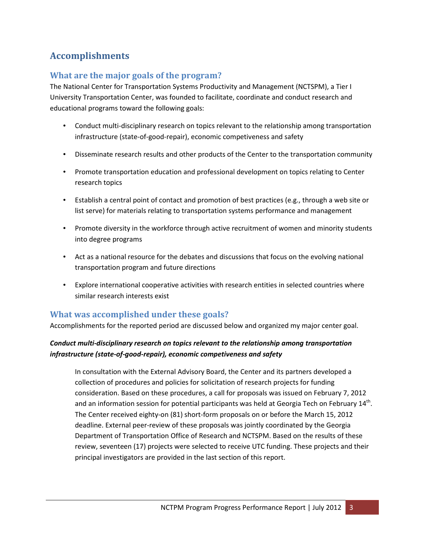# **Accomplishments**

## **What are the major goals of the program?**

The National Center for Transportation Systems Productivity and Management (NCTSPM), a Tier I University Transportation Center, was founded to facilitate, coordinate and conduct research and educational programs toward the following goals:

- Conduct multi-disciplinary research on topics relevant to the relationship among transportation infrastructure (state-of-good-repair), economic competiveness and safety
- Disseminate research results and other products of the Center to the transportation community
- Promote transportation education and professional development on topics relating to Center research topics
- Establish a central point of contact and promotion of best practices (e.g., through a web site or list serve) for materials relating to transportation systems performance and management
- Promote diversity in the workforce through active recruitment of women and minority students into degree programs
- Act as a national resource for the debates and discussions that focus on the evolving national transportation program and future directions
- Explore international cooperative activities with research entities in selected countries where similar research interests exist

## **What was accomplished under these goals?**

Accomplishments for the reported period are discussed below and organized my major center goal.

## *Conduct multi-disciplinary research on topics relevant to the relationship among transportation infrastructure (state-of-good-repair), economic competiveness and safety*

In consultation with the External Advisory Board, the Center and its partners developed a collection of procedures and policies for solicitation of research projects for funding consideration. Based on these procedures, a call for proposals was issued on February 7, 2012 and an information session for potential participants was held at Georgia Tech on February 14<sup>th</sup>. The Center received eighty-on (81) short-form proposals on or before the March 15, 2012 deadline. External peer-review of these proposals was jointly coordinated by the Georgia Department of Transportation Office of Research and NCTSPM. Based on the results of these review, seventeen (17) projects were selected to receive UTC funding. These projects and their principal investigators are provided in the last section of this report.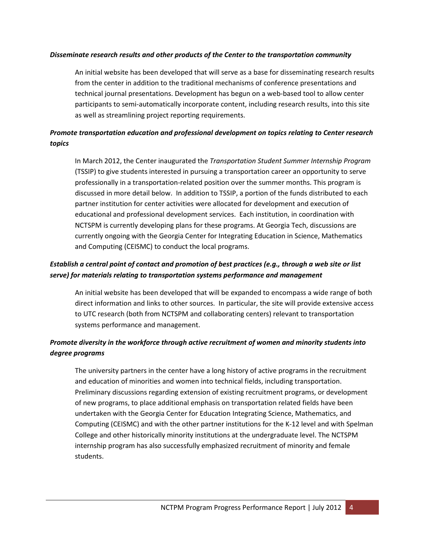#### *Disseminate research results and other products of the Center to the transportation community*

An initial website has been developed that will serve as a base for disseminating research results from the center in addition to the traditional mechanisms of conference presentations and technical journal presentations. Development has begun on a web-based tool to allow center participants to semi-automatically incorporate content, including research results, into this site as well as streamlining project reporting requirements.

## *Promote transportation education and professional development on topics relating to Center research topics*

In March 2012, the Center inaugurated the *Transportation Student Summer Internship Program* (TSSIP) to give students interested in pursuing a transportation career an opportunity to serve professionally in a transportation-related position over the summer months. This program is discussed in more detail below. In addition to TSSIP, a portion of the funds distributed to each partner institution for center activities were allocated for development and execution of educational and professional development services. Each institution, in coordination with NCTSPM is currently developing plans for these programs. At Georgia Tech, discussions are currently ongoing with the Georgia Center for Integrating Education in Science, Mathematics and Computing (CEISMC) to conduct the local programs.

### *Establish a central point of contact and promotion of best practices (e.g., through a web site or list serve) for materials relating to transportation systems performance and management*

An initial website has been developed that will be expanded to encompass a wide range of both direct information and links to other sources. In particular, the site will provide extensive access to UTC research (both from NCTSPM and collaborating centers) relevant to transportation systems performance and management.

## *Promote diversity in the workforce through active recruitment of women and minority students into degree programs*

The university partners in the center have a long history of active programs in the recruitment and education of minorities and women into technical fields, including transportation. Preliminary discussions regarding extension of existing recruitment programs, or development of new programs, to place additional emphasis on transportation related fields have been undertaken with the Georgia Center for Education Integrating Science, Mathematics, and Computing (CEISMC) and with the other partner institutions for the K-12 level and with Spelman College and other historically minority institutions at the undergraduate level. The NCTSPM internship program has also successfully emphasized recruitment of minority and female students.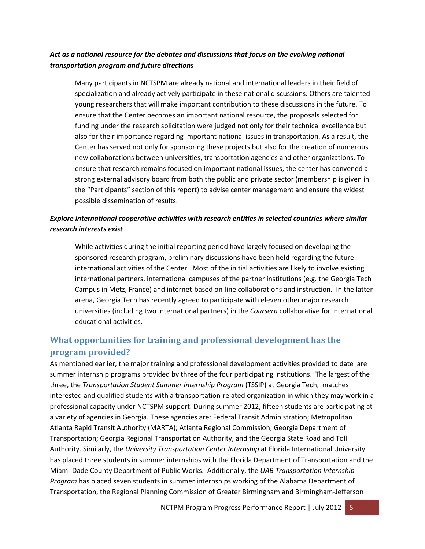### *Act as a national resource for the debates and discussions that focus on the evolving national transportation program and future directions*

Many participants in NCTSPM are already national and international leaders in their field of specialization and already actively participate in these national discussions. Others are talented young researchers that will make important contribution to these discussions in the future. To ensure that the Center becomes an important national resource, the proposals selected for funding under the research solicitation were judged not only for their technical excellence but also for their importance regarding important national issues in transportation. As a result, the Center has served not only for sponsoring these projects but also for the creation of numerous new collaborations between universities, transportation agencies and other organizations. To ensure that research remains focused on important national issues, the center has convened a strong external advisory board from both the public and private sector (membership is given in the "Participants" section of this report) to advise center management and ensure the widest possible dissemination of results.

## *Explore international cooperative activities with research entities in selected countries where similar research interests exist*

While activities during the initial reporting period have largely focused on developing the sponsored research program, preliminary discussions have been held regarding the future international activities of the Center. Most of the initial activities are likely to involve existing international partners, international campuses of the partner institutions (e.g. the Georgia Tech Campus in Metz, France) and internet-based on-line collaborations and instruction. In the latter arena, Georgia Tech has recently agreed to participate with eleven other major research universities (including two international partners) in the *Coursera* collaborative for international educational activities.

## **What opportunities for training and professional development has the program provided?**

As mentioned earlier, the major training and professional development activities provided to date are summer internship programs provided by three of the four participating institutions. The largest of the three, the *Transportation Student Summer Internship Program* (TSSIP) at Georgia Tech, matches interested and qualified students with a transportation-related organization in which they may work in a professional capacity under NCTSPM support. During summer 2012, fifteen students are participating at a variety of agencies in Georgia. These agencies are: Federal Transit Administration; Metropolitan Atlanta Rapid Transit Authority (MARTA); Atlanta Regional Commission; Georgia Department of Transportation; Georgia Regional Transportation Authority, and the Georgia State Road and Toll Authority. Similarly, the *University Transportation Center Internship* at Florida International University has placed three students in summer internships with the Florida Department of Transportation and the Miami-Dade County Department of Public Works. Additionally, the *UAB Transportation Internship Program* has placed seven students in summer internships working of the Alabama Department of Transportation, the Regional Planning Commission of Greater Birmingham and Birmingham-Jefferson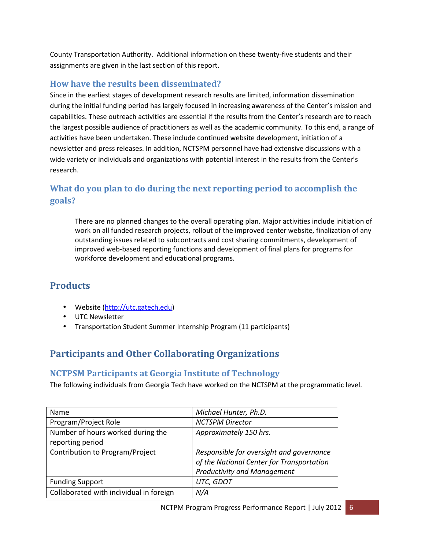County Transportation Authority. Additional information on these twenty-five students and their assignments are given in the last section of this report.

## **How have the results been disseminated?**

Since in the earliest stages of development research results are limited, information dissemination during the initial funding period has largely focused in increasing awareness of the Center's mission and capabilities. These outreach activities are essential if the results from the Center's research are to reach the largest possible audience of practitioners as well as the academic community. To this end, a range of activities have been undertaken. These include continued website development, initiation of a newsletter and press releases. In addition, NCTSPM personnel have had extensive discussions with a wide variety or individuals and organizations with potential interest in the results from the Center's research.

# **What do you plan to do during the next reporting period to accomplish the goals?**

There are no planned changes to the overall operating plan. Major activities include initiation of work on all funded research projects, rollout of the improved center website, finalization of any outstanding issues related to subcontracts and cost sharing commitments, development of improved web-based reporting functions and development of final plans for programs for workforce development and educational programs.

## **Products**

- Website (http://utc.gatech.edu)
- UTC Newsletter
- Transportation Student Summer Internship Program (11 participants)

# **Participants and Other Collaborating Organizations**

## **NCTPSM Participants at Georgia Institute of Technology**

The following individuals from Georgia Tech have worked on the NCTSPM at the programmatic level.

| Name                                    | Michael Hunter, Ph.D.                     |
|-----------------------------------------|-------------------------------------------|
| Program/Project Role                    | <b>NCTSPM Director</b>                    |
| Number of hours worked during the       | Approximately 150 hrs.                    |
| reporting period                        |                                           |
| Contribution to Program/Project         | Responsible for oversight and governance  |
|                                         | of the National Center for Transportation |
|                                         | <b>Productivity and Management</b>        |
| <b>Funding Support</b>                  | UTC, GDOT                                 |
| Collaborated with individual in foreign | N/A                                       |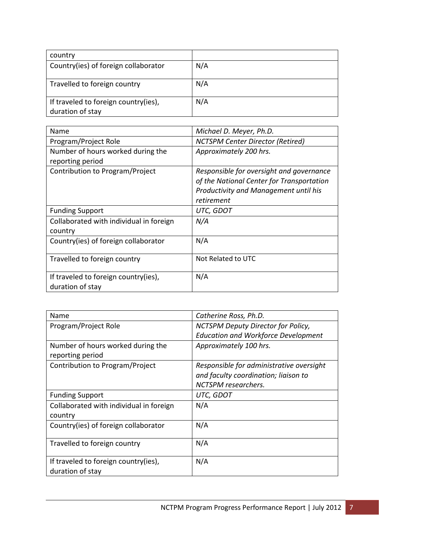| country                                                  |     |
|----------------------------------------------------------|-----|
| Country(ies) of foreign collaborator                     | N/A |
| Travelled to foreign country                             | N/A |
| If traveled to foreign country(ies),<br>duration of stay | N/A |

| Name                                    | Michael D. Meyer, Ph.D.                   |
|-----------------------------------------|-------------------------------------------|
|                                         |                                           |
| Program/Project Role                    | <b>NCTSPM Center Director (Retired)</b>   |
| Number of hours worked during the       | Approximately 200 hrs.                    |
| reporting period                        |                                           |
| Contribution to Program/Project         | Responsible for oversight and governance  |
|                                         | of the National Center for Transportation |
|                                         | Productivity and Management until his     |
|                                         | retirement                                |
| <b>Funding Support</b>                  | UTC, GDOT                                 |
| Collaborated with individual in foreign | N/A                                       |
| country                                 |                                           |
| Country(ies) of foreign collaborator    | N/A                                       |
|                                         |                                           |
| Travelled to foreign country            | Not Related to UTC                        |
|                                         |                                           |
| If traveled to foreign country(ies),    | N/A                                       |
| duration of stay                        |                                           |

| Name                                                     | Catherine Ross, Ph.D.                                                                                   |
|----------------------------------------------------------|---------------------------------------------------------------------------------------------------------|
| Program/Project Role                                     | NCTSPM Deputy Director for Policy,                                                                      |
|                                                          | <b>Education and Workforce Development</b>                                                              |
| Number of hours worked during the<br>reporting period    | Approximately 100 hrs.                                                                                  |
| Contribution to Program/Project                          | Responsible for administrative oversight<br>and faculty coordination; liaison to<br>NCTSPM researchers. |
| <b>Funding Support</b>                                   | UTC, GDOT                                                                                               |
| Collaborated with individual in foreign<br>country       | N/A                                                                                                     |
| Country(ies) of foreign collaborator                     | N/A                                                                                                     |
| Travelled to foreign country                             | N/A                                                                                                     |
| If traveled to foreign country(ies),<br>duration of stay | N/A                                                                                                     |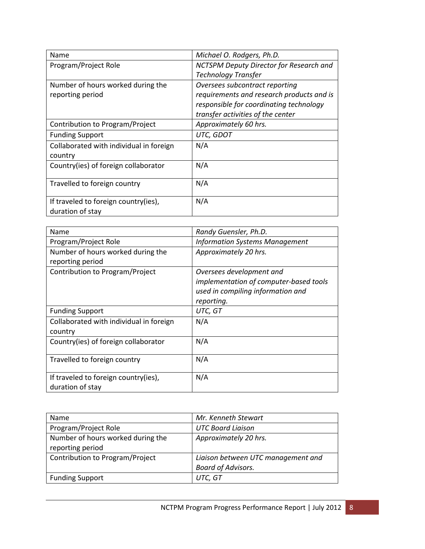| Name                                    | Michael O. Rodgers, Ph.D.                 |
|-----------------------------------------|-------------------------------------------|
| Program/Project Role                    | NCTSPM Deputy Director for Research and   |
|                                         | <b>Technology Transfer</b>                |
| Number of hours worked during the       | Oversees subcontract reporting            |
| reporting period                        | requirements and research products and is |
|                                         | responsible for coordinating technology   |
|                                         | transfer activities of the center         |
| Contribution to Program/Project         | Approximately 60 hrs.                     |
| <b>Funding Support</b>                  | UTC, GDOT                                 |
| Collaborated with individual in foreign | N/A                                       |
| country                                 |                                           |
| Country(ies) of foreign collaborator    | N/A                                       |
|                                         |                                           |
| Travelled to foreign country            | N/A                                       |
|                                         |                                           |
| If traveled to foreign country(ies),    | N/A                                       |
| duration of stay                        |                                           |

| Name                                                     | Randy Guensler, Ph.D.                                                                                                 |
|----------------------------------------------------------|-----------------------------------------------------------------------------------------------------------------------|
| Program/Project Role                                     | <b>Information Systems Management</b>                                                                                 |
| Number of hours worked during the<br>reporting period    | Approximately 20 hrs.                                                                                                 |
| Contribution to Program/Project                          | Oversees development and<br>implementation of computer-based tools<br>used in compiling information and<br>reporting. |
| <b>Funding Support</b>                                   | UTC, GT                                                                                                               |
| Collaborated with individual in foreign<br>country       | N/A                                                                                                                   |
| Country(ies) of foreign collaborator                     | N/A                                                                                                                   |
| Travelled to foreign country                             | N/A                                                                                                                   |
| If traveled to foreign country(ies),<br>duration of stay | N/A                                                                                                                   |

| <b>Name</b>                       | Mr. Kenneth Stewart                |
|-----------------------------------|------------------------------------|
| Program/Project Role              | <b>UTC Board Liaison</b>           |
| Number of hours worked during the | Approximately 20 hrs.              |
| reporting period                  |                                    |
| Contribution to Program/Project   | Liaison between UTC management and |
|                                   | <b>Board of Advisors.</b>          |
| <b>Funding Support</b>            | UTC, GT                            |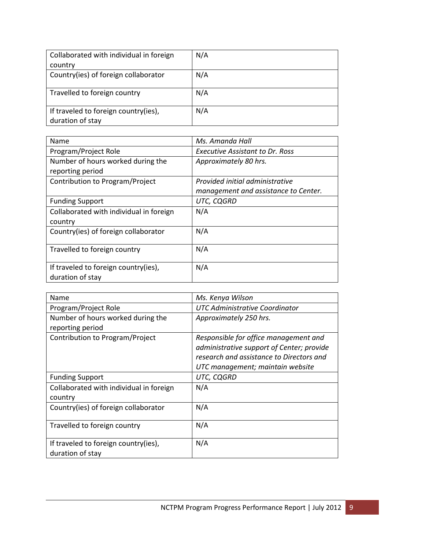| Collaborated with individual in foreign | N/A |
|-----------------------------------------|-----|
| country                                 |     |
| Country(ies) of foreign collaborator    | N/A |
|                                         |     |
| Travelled to foreign country            | N/A |
|                                         |     |
| If traveled to foreign country(ies),    | N/A |
| duration of stay                        |     |

| Name                                    | Ms. Amanda Hall                      |
|-----------------------------------------|--------------------------------------|
| Program/Project Role                    | Executive Assistant to Dr. Ross      |
| Number of hours worked during the       | Approximately 80 hrs.                |
| reporting period                        |                                      |
| Contribution to Program/Project         | Provided initial administrative      |
|                                         | management and assistance to Center. |
| <b>Funding Support</b>                  | UTC, CQGRD                           |
| Collaborated with individual in foreign | N/A                                  |
| country                                 |                                      |
| Country(ies) of foreign collaborator    | N/A                                  |
|                                         |                                      |
| Travelled to foreign country            | N/A                                  |
|                                         |                                      |
| If traveled to foreign country(ies),    | N/A                                  |
| duration of stay                        |                                      |

| Name                                                     | Ms. Kenya Wilson                                                                                                                                                   |
|----------------------------------------------------------|--------------------------------------------------------------------------------------------------------------------------------------------------------------------|
| Program/Project Role                                     | UTC Administrative Coordinator                                                                                                                                     |
| Number of hours worked during the<br>reporting period    | Approximately 250 hrs.                                                                                                                                             |
| Contribution to Program/Project                          | Responsible for office management and<br>administrative support of Center; provide<br>research and assistance to Directors and<br>UTC management; maintain website |
| <b>Funding Support</b>                                   | UTC, CQGRD                                                                                                                                                         |
| Collaborated with individual in foreign<br>country       | N/A                                                                                                                                                                |
| Country(ies) of foreign collaborator                     | N/A                                                                                                                                                                |
| Travelled to foreign country                             | N/A                                                                                                                                                                |
| If traveled to foreign country(ies),<br>duration of stay | N/A                                                                                                                                                                |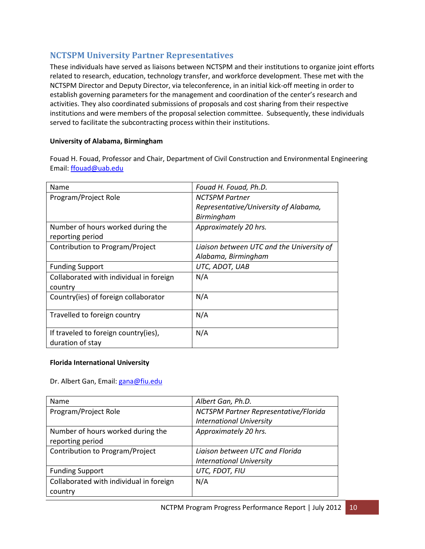## **NCTSPM University Partner Representatives**

These individuals have served as liaisons between NCTSPM and their institutions to organize joint efforts related to research, education, technology transfer, and workforce development. These met with the NCTSPM Director and Deputy Director, via teleconference, in an initial kick-off meeting in order to establish governing parameters for the management and coordination of the center's research and activities. They also coordinated submissions of proposals and cost sharing from their respective institutions and were members of the proposal selection committee. Subsequently, these individuals served to facilitate the subcontracting process within their institutions.

### **University of Alabama, Birmingham**

Fouad H. Fouad, Professor and Chair, Department of Civil Construction and Environmental Engineering Email: ffouad@uab.edu

| Name                                    | Fouad H. Fouad, Ph.D.                     |
|-----------------------------------------|-------------------------------------------|
| Program/Project Role                    | <b>NCTSPM Partner</b>                     |
|                                         | Representative/University of Alabama,     |
|                                         | Birmingham                                |
| Number of hours worked during the       | Approximately 20 hrs.                     |
| reporting period                        |                                           |
| Contribution to Program/Project         | Liaison between UTC and the University of |
|                                         | Alabama, Birmingham                       |
| <b>Funding Support</b>                  | UTC, ADOT, UAB                            |
| Collaborated with individual in foreign | N/A                                       |
| country                                 |                                           |
| Country(ies) of foreign collaborator    | N/A                                       |
|                                         |                                           |
| Travelled to foreign country            | N/A                                       |
|                                         |                                           |
| If traveled to foreign country(ies),    | N/A                                       |
| duration of stay                        |                                           |

#### **Florida International University**

#### Dr. Albert Gan, Email: gana@fiu.edu

| <b>Name</b>                             | Albert Gan, Ph.D.                     |
|-----------------------------------------|---------------------------------------|
| Program/Project Role                    | NCTSPM Partner Representative/Florida |
|                                         | <b>International University</b>       |
| Number of hours worked during the       | Approximately 20 hrs.                 |
| reporting period                        |                                       |
| Contribution to Program/Project         | Liaison between UTC and Florida       |
|                                         | <b>International University</b>       |
| <b>Funding Support</b>                  | UTC, FDOT, FIU                        |
| Collaborated with individual in foreign | N/A                                   |
| country                                 |                                       |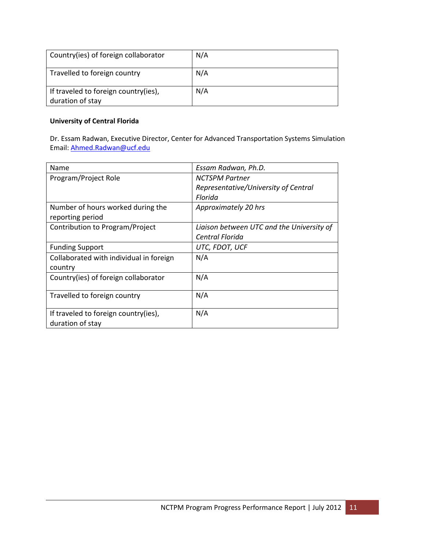| Country(ies) of foreign collaborator                     | N/A |
|----------------------------------------------------------|-----|
| Travelled to foreign country                             | N/A |
| If traveled to foreign country(ies),<br>duration of stay | N/A |

### **University of Central Florida**

Dr. Essam Radwan, Executive Director, Center for Advanced Transportation Systems Simulation Email: Ahmed.Radwan@ucf.edu

| Name                                    | Essam Radwan, Ph.D.                       |
|-----------------------------------------|-------------------------------------------|
| Program/Project Role                    | <b>NCTSPM Partner</b>                     |
|                                         | Representative/University of Central      |
|                                         | Florida                                   |
| Number of hours worked during the       | Approximately 20 hrs                      |
| reporting period                        |                                           |
| Contribution to Program/Project         | Liaison between UTC and the University of |
|                                         | Central Florida                           |
| <b>Funding Support</b>                  | UTC, FDOT, UCF                            |
| Collaborated with individual in foreign | N/A                                       |
| country                                 |                                           |
| Country(ies) of foreign collaborator    | N/A                                       |
|                                         |                                           |
| Travelled to foreign country            | N/A                                       |
|                                         |                                           |
| If traveled to foreign country(ies),    | N/A                                       |
| duration of stay                        |                                           |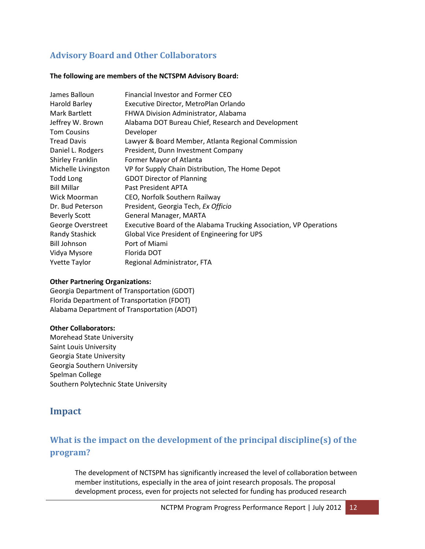## **Advisory Board and Other Collaborators**

#### **The following are members of the NCTSPM Advisory Board:**

| James Balloun         | Financial Investor and Former CEO                                  |
|-----------------------|--------------------------------------------------------------------|
| Harold Barley         | Executive Director, MetroPlan Orlando                              |
| Mark Bartlett         | <b>FHWA Division Administrator, Alabama</b>                        |
| Jeffrey W. Brown      | Alabama DOT Bureau Chief, Research and Development                 |
| <b>Tom Cousins</b>    | Developer                                                          |
| <b>Tread Davis</b>    | Lawyer & Board Member, Atlanta Regional Commission                 |
| Daniel L. Rodgers     | President, Dunn Investment Company                                 |
| Shirley Franklin      | Former Mayor of Atlanta                                            |
| Michelle Livingston   | VP for Supply Chain Distribution, The Home Depot                   |
| <b>Todd Long</b>      | <b>GDOT Director of Planning</b>                                   |
| <b>Bill Millar</b>    | Past President APTA                                                |
| Wick Moorman          | CEO, Norfolk Southern Railway                                      |
| Dr. Bud Peterson      | President, Georgia Tech, Ex Officio                                |
| <b>Beverly Scott</b>  | General Manager, MARTA                                             |
| George Overstreet     | Executive Board of the Alabama Trucking Association, VP Operations |
| <b>Randy Stashick</b> | Global Vice President of Engineering for UPS                       |
| <b>Bill Johnson</b>   | Port of Miami                                                      |
| Vidya Mysore          | Florida DOT                                                        |
| <b>Yvette Taylor</b>  | Regional Administrator, FTA                                        |

#### **Other Partnering Organizations:**

Georgia Department of Transportation (GDOT) Florida Department of Transportation (FDOT) Alabama Department of Transportation (ADOT)

#### **Other Collaborators:**

Morehead State University Saint Louis University Georgia State University Georgia Southern University Spelman College Southern Polytechnic State University

## **Impact**

# **What is the impact on the development of the principal discipline(s) of the program?**

The development of NCTSPM has significantly increased the level of collaboration between member institutions, especially in the area of joint research proposals. The proposal development process, even for projects not selected for funding has produced research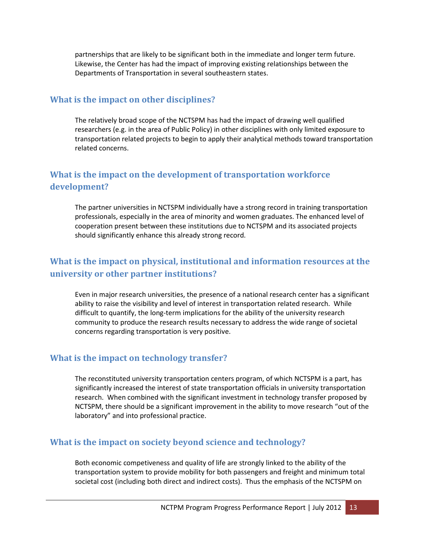partnerships that are likely to be significant both in the immediate and longer term future. Likewise, the Center has had the impact of improving existing relationships between the Departments of Transportation in several southeastern states.

### **What is the impact on other disciplines?**

The relatively broad scope of the NCTSPM has had the impact of drawing well qualified researchers (e.g. in the area of Public Policy) in other disciplines with only limited exposure to transportation related projects to begin to apply their analytical methods toward transportation related concerns.

## **What is the impact on the development of transportation workforce development?**

The partner universities in NCTSPM individually have a strong record in training transportation professionals, especially in the area of minority and women graduates. The enhanced level of cooperation present between these institutions due to NCTSPM and its associated projects should significantly enhance this already strong record.

## **What is the impact on physical, institutional and information resources at the university or other partner institutions?**

Even in major research universities, the presence of a national research center has a significant ability to raise the visibility and level of interest in transportation related research. While difficult to quantify, the long-term implications for the ability of the university research community to produce the research results necessary to address the wide range of societal concerns regarding transportation is very positive.

### **What is the impact on technology transfer?**

The reconstituted university transportation centers program, of which NCTSPM is a part, has significantly increased the interest of state transportation officials in university transportation research. When combined with the significant investment in technology transfer proposed by NCTSPM, there should be a significant improvement in the ability to move research "out of the laboratory" and into professional practice.

### **What is the impact on society beyond science and technology?**

Both economic competiveness and quality of life are strongly linked to the ability of the transportation system to provide mobility for both passengers and freight and minimum total societal cost (including both direct and indirect costs). Thus the emphasis of the NCTSPM on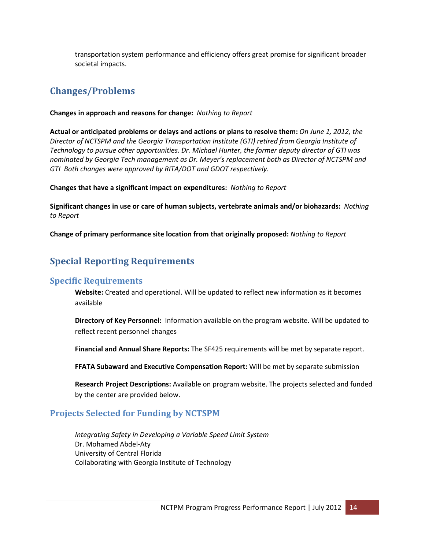transportation system performance and efficiency offers great promise for significant broader societal impacts.

## **Changes/Problems**

#### **Changes in approach and reasons for change:** *Nothing to Report*

**Actual or anticipated problems or delays and actions or plans to resolve them:** *On June 1, 2012, the Director of NCTSPM and the Georgia Transportation Institute (GTI) retired from Georgia Institute of Technology to pursue other opportunities. Dr. Michael Hunter, the former deputy director of GTI was nominated by Georgia Tech management as Dr. Meyer's replacement both as Director of NCTSPM and GTI Both changes were approved by RITA/DOT and GDOT respectively.* 

**Changes that have a significant impact on expenditures:** *Nothing to Report* 

**Significant changes in use or care of human subjects, vertebrate animals and/or biohazards:** *Nothing to Report* 

**Change of primary performance site location from that originally proposed:** *Nothing to Report* 

# **Special Reporting Requirements**

### **Specific Requirements**

**Website:** Created and operational. Will be updated to reflect new information as it becomes available

**Directory of Key Personnel:** Information available on the program website. Will be updated to reflect recent personnel changes

**Financial and Annual Share Reports:** The SF425 requirements will be met by separate report.

**FFATA Subaward and Executive Compensation Report:** Will be met by separate submission

**Research Project Descriptions:** Available on program website. The projects selected and funded by the center are provided below.

## **Projects Selected for Funding by NCTSPM**

*Integrating Safety in Developing a Variable Speed Limit System*  Dr. Mohamed Abdel-Aty University of Central Florida Collaborating with Georgia Institute of Technology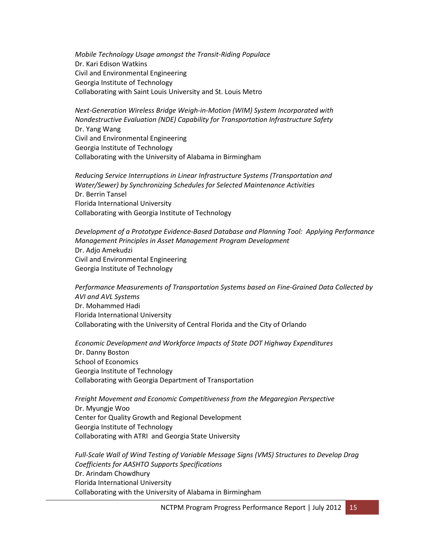*Mobile Technology Usage amongst the Transit-Riding Populace* Dr. Kari Edison Watkins Civil and Environmental Engineering Georgia Institute of Technology Collaborating with Saint Louis University and St. Louis Metro

*Next-Generation Wireless Bridge Weigh-in-Motion (WIM) System Incorporated with Nondestructive Evaluation (NDE) Capability for Transportation Infrastructure Safety* Dr. Yang Wang Civil and Environmental Engineering Georgia Institute of Technology Collaborating with the University of Alabama in Birmingham

*Reducing Service Interruptions in Linear Infrastructure Systems (Transportation and Water/Sewer) by Synchronizing Schedules for Selected Maintenance Activities* Dr. Berrin Tansel Florida International University Collaborating with Georgia Institute of Technology

*Development of a Prototype Evidence-Based Database and Planning Tool: Applying Performance Management Principles in Asset Management Program Development* Dr. Adjo Amekudzi Civil and Environmental Engineering Georgia Institute of Technology

*Performance Measurements of Transportation Systems based on Fine-Grained Data Collected by AVI and AVL Systems* Dr. Mohammed Hadi Florida International University Collaborating with the University of Central Florida and the City of Orlando

*Economic Development and Workforce Impacts of State DOT Highway Expenditures* Dr. Danny Boston School of Economics Georgia Institute of Technology Collaborating with Georgia Department of Transportation

*Freight Movement and Economic Competitiveness from the Megaregion Perspective*  Dr. Myungje Woo Center for Quality Growth and Regional Development Georgia Institute of Technology Collaborating with ATRI and Georgia State University

*Full-Scale Wall of Wind Testing of Variable Message Signs (VMS) Structures to Develop Drag Coefficients for AASHTO Supports Specifications* Dr. Arindam Chowdhury Florida International University Collaborating with the University of Alabama in Birmingham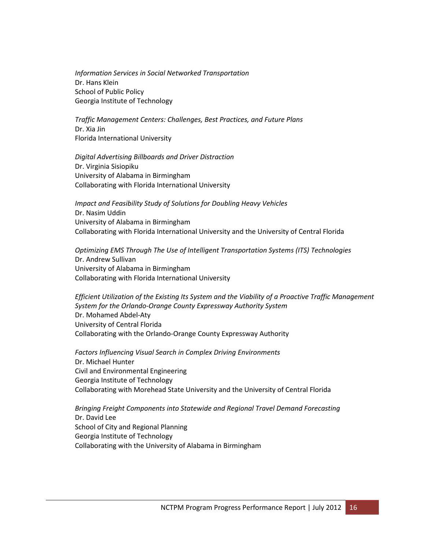*Information Services in Social Networked Transportation* Dr. Hans Klein School of Public Policy Georgia Institute of Technology

*Traffic Management Centers: Challenges, Best Practices, and Future Plans* Dr. Xia Jin Florida International University

*Digital Advertising Billboards and Driver Distraction* Dr. Virginia Sisiopiku University of Alabama in Birmingham Collaborating with Florida International University

*Impact and Feasibility Study of Solutions for Doubling Heavy Vehicles* Dr. Nasim Uddin University of Alabama in Birmingham Collaborating with Florida International University and the University of Central Florida

*Optimizing EMS Through The Use of Intelligent Transportation Systems (ITS) Technologies* Dr. Andrew Sullivan University of Alabama in Birmingham Collaborating with Florida International University

*Efficient Utilization of the Existing Its System and the Viability of a Proactive Traffic Management System for the Orlando-Orange County Expressway Authority System* Dr. Mohamed Abdel-Aty University of Central Florida Collaborating with the Orlando-Orange County Expressway Authority

*Factors Influencing Visual Search in Complex Driving Environments* Dr. Michael Hunter Civil and Environmental Engineering Georgia Institute of Technology Collaborating with Morehead State University and the University of Central Florida

*Bringing Freight Components into Statewide and Regional Travel Demand Forecasting*  Dr. David Lee School of City and Regional Planning Georgia Institute of Technology Collaborating with the University of Alabama in Birmingham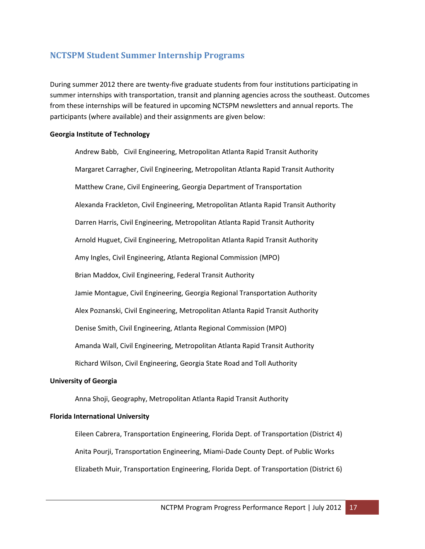## **NCTSPM Student Summer Internship Programs**

During summer 2012 there are twenty-five graduate students from four institutions participating in summer internships with transportation, transit and planning agencies across the southeast. Outcomes from these internships will be featured in upcoming NCTSPM newsletters and annual reports. The participants (where available) and their assignments are given below:

#### **Georgia Institute of Technology**

Andrew Babb, Civil Engineering, Metropolitan Atlanta Rapid Transit Authority Margaret Carragher, Civil Engineering, Metropolitan Atlanta Rapid Transit Authority Matthew Crane, Civil Engineering, Georgia Department of Transportation Alexanda Frackleton, Civil Engineering, Metropolitan Atlanta Rapid Transit Authority Darren Harris, Civil Engineering, Metropolitan Atlanta Rapid Transit Authority Arnold Huguet, Civil Engineering, Metropolitan Atlanta Rapid Transit Authority Amy Ingles, Civil Engineering, Atlanta Regional Commission (MPO) Brian Maddox, Civil Engineering, Federal Transit Authority Jamie Montague, Civil Engineering, Georgia Regional Transportation Authority Alex Poznanski, Civil Engineering, Metropolitan Atlanta Rapid Transit Authority Denise Smith, Civil Engineering, Atlanta Regional Commission (MPO) Amanda Wall, Civil Engineering, Metropolitan Atlanta Rapid Transit Authority Richard Wilson, Civil Engineering, Georgia State Road and Toll Authority

#### **University of Georgia**

Anna Shoji, Geography, Metropolitan Atlanta Rapid Transit Authority

#### **Florida International University**

Eileen Cabrera, Transportation Engineering, Florida Dept. of Transportation (District 4) Anita Pourji, Transportation Engineering, Miami-Dade County Dept. of Public Works Elizabeth Muir, Transportation Engineering, Florida Dept. of Transportation (District 6)